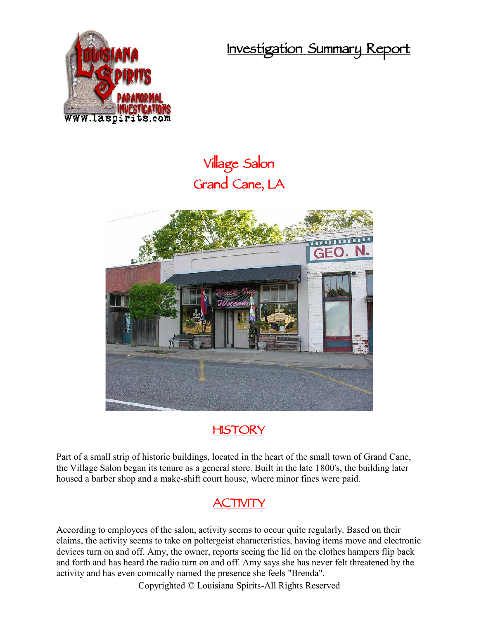**Investigation Summary Report**



## **Village Salon Grand Cane, LA**





Part of a small strip of historic buildings, located in the heart of the small town of Grand Cane, the Village Salon began its tenure as a general store. Built in the late 1800's, the building later housed a barber shop and a make-shift court house, where minor fines were paid.

## **ACTIVITY**

According to employees of the salon, activity seems to occur quite regularly. Based on their claims, the activity seems to take on poltergeist characteristics, having items move and electronic devices turn on and off. Amy, the owner, reports seeing the lid on the clothes hampers flip back and forth and has heard the radio turn on and off. Amy says she has never felt threatened by the activity and has even comically named the presence she feels "Brenda".

Copyrighted © Louisiana Spirits-All Rights Reserved